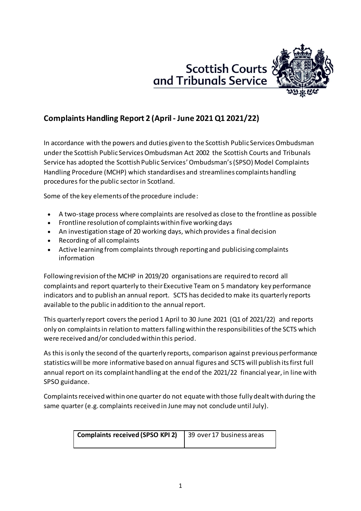



# **Complaints Handling Report 2 (April - June 2021Q1 2021/22)**

In accordance with the powers and duties given to the Scottish Public Services Ombudsman under the Scottish Public Services Ombudsman Act 2002 the Scottish Courts and Tribunals Service has adopted the Scottish Public Services' Ombudsman's (SPSO) Model Complaints Handling Procedure (MCHP) which standardises and streamlines complaints handling procedures for the public sector in Scotland.

Some of the key elements of the procedure include:

- A two-stage process where complaints are resolved as close to the frontline as possible
- Frontline resolution of complaints within five working days
- An investigation stage of 20 working days, which provides a final decision
- Recording of all complaints
- Active learning from complaints through reporting and publicising complaints information

Following revision of the MCHP in 2019/20 organisations are required to record all complaints and report quarterly to their Executive Team on 5 mandatory key performance indicators and to publish an annual report. SCTS has decided to make its quarterly reports available to the public in addition to the annual report.

This quarterly report covers the period 1 April to 30 June 2021 (Q1 of 2021/22) and reports only on complaints in relation to matters falling within the responsibilities of the SCTS which were received and/or concluded within this period.

As this is only the second of the quarterly reports, comparison against previous performance statistics will be more informative based on annual figures and SCTS will publish its first full annual report on its complaint handling at the end of the 2021/22 financial year, in line with SPSO guidance.

Complaints received within one quarter do not equate with those fully dealt with during the same quarter (e.g. complaints received in June may not conclude until July).

| <b>Complaints received (SPSO KPI 2)</b> | 39 over 17 business areas |  |  |
|-----------------------------------------|---------------------------|--|--|
|                                         |                           |  |  |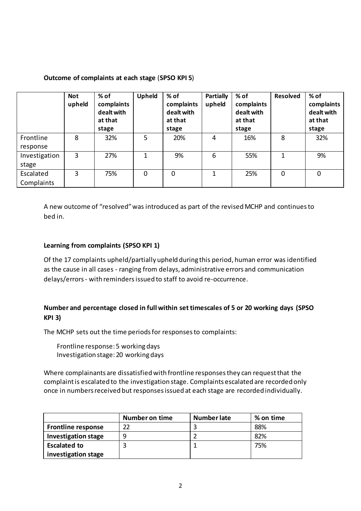#### **Outcome of complaints at each stage** (**SPSO KPI 5**)

|                         | <b>Not</b><br>upheld | % of<br>complaints<br>dealt with<br>at that<br>stage | Upheld | % of<br>complaints<br>dealt with<br>at that<br>stage | <b>Partially</b><br>upheld | % of<br>complaints<br>dealt with<br>at that<br>stage | <b>Resolved</b> | % of<br>complaints<br>dealt with<br>at that<br>stage |
|-------------------------|----------------------|------------------------------------------------------|--------|------------------------------------------------------|----------------------------|------------------------------------------------------|-----------------|------------------------------------------------------|
| Frontline<br>response   | 8                    | 32%                                                  | 5      | 20%                                                  | 4                          | 16%                                                  | 8               | 32%                                                  |
| Investigation<br>stage  | 3                    | 27%                                                  | 1      | 9%                                                   | 6                          | 55%                                                  | 1               | 9%                                                   |
| Escalated<br>Complaints | 3                    | 75%                                                  | 0      | $\mathbf 0$                                          | 1                          | 25%                                                  | 0               | 0                                                    |

A new outcome of "resolved" was introduced as part of the revised MCHP and continues to bed in.

#### **Learning from complaints (SPSO KPI 1)**

Of the 17 complaints upheld/partially upheld during this period, human error was identified as the cause in all cases - ranging from delays, administrative errors and communication delays/errors- with reminders issued to staff to avoid re-occurrence.

## **Number and percentage closed in full within set timescales of 5 or 20 working days (SPSO KPI 3)**

The MCHP sets out the time periods for responses to complaints:

Frontline response: 5 working days Investigation stage: 20 working days

Where complainants are dissatisfied with frontline responses they can request that the complaint is escalated to the investigation stage. Complaints escalated are recorded only once in numbers received but responses issued at each stage are recorded individually.

|                            | <b>Number on time</b> | <b>Number late</b> | % on time |
|----------------------------|-----------------------|--------------------|-----------|
| <b>Frontline response</b>  | 22                    |                    | 88%       |
| <b>Investigation stage</b> | q                     |                    | 82%       |
| <b>Escalated to</b>        |                       |                    | 75%       |
| investigation stage        |                       |                    |           |